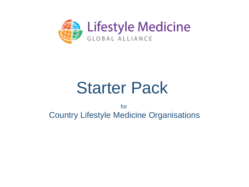

# Starter Pack

for Country Lifestyle Medicine Organisations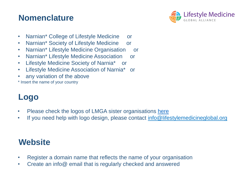#### **Nomenclature**



- Narnian\* College of Lifestyle Medicine or
- Narnian\* Society of Lifestyle Medicine or
- Narnian\* Lifestyle Medicine Organisation or
- Narnian\* Lifestyle Medicine Association or
- Lifestyle Medicine Society of Narnia\* or
- Lifestyle Medicine Association of Narnia\* or
- any variation of the above
- \* Insert the name of your country

# **Logo**

- Please check the logos of LMGA sister organisations [here](https://lifestylemedicineglobal.org/sister-organizations/)
- If you need help with logo design, please contact [info@lifestylemedicineglobal.org](mailto:info@lifestylemedicineglobal.org)

## **Website**

- Register a domain name that reflects the name of your organisation
- Create an info@ email that is regularly checked and answered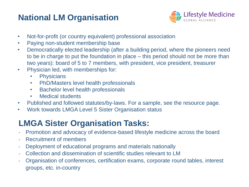# **National LM Organisation**



- Not-for-profit (or country equivalent) professional association
- Paying non-student membership base
- Democratically elected leadership (after a building period, where the pioneers need to be in charge to put the foundation in place – this period should not be more than two years): board of 5 to 7 members, with president, vice president, treasurer
- Physician led, with memberships for:
	- Physicians
	- PhD/Masters level health professionals
	- Bachelor level health professionals
	- Medical students
- Published and followed statutes/by-laws. For a sample, see the resource page.
- Work towards LMGA Level 5 Sister Organisation status

## **LMGA Sister Organisation Tasks:**

- Promotion and advocacy of evidence-based lifestyle medicine across the board
- Recruitment of members
- Deployment of educational programs and materials nationally
- Collection and dissemination of scientific studies relevant to LM
- Organisation of conferences, certification exams, corporate round tables, interest groups, etc. in-country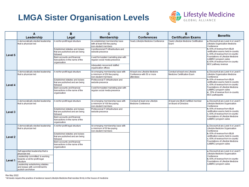#### **LMGA Sister Organisation Levels**



|                    | A                                                                                       | в                                                                               | c                                                                                                                             | D                                                                          | Е                                                                                                                               | <b>Benefits</b>                                                                                                            |
|--------------------|-----------------------------------------------------------------------------------------|---------------------------------------------------------------------------------|-------------------------------------------------------------------------------------------------------------------------------|----------------------------------------------------------------------------|---------------------------------------------------------------------------------------------------------------------------------|----------------------------------------------------------------------------------------------------------------------------|
|                    | Leadership                                                                              | Legal                                                                           | <b>Membership</b>                                                                                                             | <b>Conferences</b>                                                         | <b>Certification Exams</b>                                                                                                      |                                                                                                                            |
| Level 5            | A democratically elected leadership<br>that is physician led                            | A not-for-profit legal structure<br>Established statutes and bylaws             | An established membership base<br>with at least 500 fee paying<br>non-student members<br>A professional IT infrastructure and | Yearly Lifestyle Medicine Conference                                       | Yearly Lifestyle Medicine Certification<br>Exam<br>Lifestyle Organisation Medicine<br>Conference<br>b. 65% of revenue from IBLM | a. Discount at any Level 4 or Level 5                                                                                      |
|                    |                                                                                         | that are published and are being<br>followed                                    | website presence                                                                                                              |                                                                            |                                                                                                                                 | certification exams held in-country<br>c. 65% of revenue from in-country                                                   |
|                    |                                                                                         | Bank accounts and financial<br>transactions in the name of the<br>organisation  | A well formulated marketing plan with<br>requiar social media presence                                                        |                                                                            |                                                                                                                                 | Foundations of Lifestyle Medicine<br>(LMBRC) program sales<br>d. 65% of revenue from in-country<br>MOC pathway revenue     |
|                    |                                                                                         |                                                                                 | Adequately resourced/staffed<br>organisation offices                                                                          |                                                                            |                                                                                                                                 |                                                                                                                            |
| Level 4            | A democratically elected leadership<br>that is physician led                            | A not-for-profit legal structure                                                | An emerging membership base with<br>a minimum of 250 fee paying<br>non-student members                                        | At least one Lifestvle Medicine<br>Conference with 50 or more<br>attendees | Conduct at least one Lifestyle<br><b>Medicine Certification Exam</b>                                                            | a. Discount at any Level 4 or Level 5<br>Lifestyle Organisation Medicine<br>Conference                                     |
|                    |                                                                                         | Established statutes and bylaws<br>that are published and are being<br>followed | Professional IT infrastructure and<br>website presence                                                                        |                                                                            |                                                                                                                                 | b. 65% of revenue from IBLM<br>certification exams held in-country<br>c. 65% of revenue from in-country                    |
|                    |                                                                                         | Bank accounts and financial<br>transactions in the name of the<br>organisation  | A well formulated marketing plan with<br>regular social media presence                                                        |                                                                            |                                                                                                                                 | Foundations of Lifestyle Medicine<br>(LMBRC) program sales<br>d. 35% of revenue from in-country<br><b>MOC</b> participants |
| Level 3            | A democratically elected leadership<br>that is physician led                            | A not-for-profit legal structure                                                | An emerging membership base with<br>a minimum of 100 fee paving<br>non-student members                                        | Conduct at least one Lifestyle<br><b>Medicine Conference</b>               | At least one IBLM Certified member<br>on Board of Directors                                                                     | a. Discount at any Level 4 or Level 5<br>Lifestyle Medicine Organisation<br>Conference                                     |
|                    |                                                                                         | Established statutes and bylaws<br>that are published and are being<br>followed | Professional IT infrastructure and<br>website presence                                                                        |                                                                            |                                                                                                                                 | b. 65% of revenue from IBLM<br>certification exams held in-country<br>c. 65% of revenue from in-country                    |
|                    |                                                                                         | Bank accounts and financial<br>transactions in the name of the<br>organisation  |                                                                                                                               |                                                                            |                                                                                                                                 | Foundations of Lifestyle Medicine<br>(LMBRC) program sales                                                                 |
| Level <sub>2</sub> | A democratically elected leadership<br>that is physician led                            | A not-for-profit legal structure                                                | An emerging membership base with<br>a minimum of 50 fee paying<br>non-student members                                         |                                                                            |                                                                                                                                 | a. Discount at any Level 4 or Level 5<br>Lifestyle Medicine Organisation<br>Conference                                     |
|                    |                                                                                         | Established statutes and bylaws<br>that are published and are being<br>followed |                                                                                                                               |                                                                            |                                                                                                                                 | b. 65% of revenue from IBLM<br>certification exams held in-country<br>c. 65% of revenue from in-country                    |
|                    |                                                                                         | Bank accounts and financial<br>transactions in the name of the<br>organisation  |                                                                                                                               |                                                                            |                                                                                                                                 | Foundations of Lifestyle Medicine<br>(LMBRC) program sales                                                                 |
| Level 1            | Self-appointed leadership that is<br>physician led                                      |                                                                                 |                                                                                                                               |                                                                            |                                                                                                                                 | a. Discount at any Level 4 or Level 5<br>Lifestyle Medicine Organisation<br>Conference                                     |
|                    | Leadership committed to working<br>towards a not-for-profit legal<br>structure          |                                                                                 |                                                                                                                               |                                                                            |                                                                                                                                 | b. 65% of revenue from in-country<br>Foundations of Lifestyle Medicine                                                     |
|                    | Leadership establishing statutes<br>and bylaws with commitment to<br>publish and follow |                                                                                 |                                                                                                                               |                                                                            |                                                                                                                                 | (LMBRC) program sales                                                                                                      |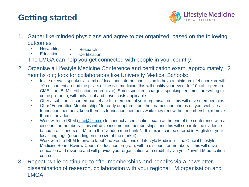# **Getting started**



- 1. Gather like-minded physicians and agree to get organized, based on the following outcomes
	- Networking • Research
	- Education **Certification**

The LMGA can help you get connected with people in your country.

- 2. Organise a Lifestyle Medicine Conference and certification exam, approximately 12 months out; look for collaborators like University Medical Schools:
	- Invite relevant speakers a mix of local and international... plan to have a minimum of 4 speakers with 10h of content around the pillars of lifestyle medicine (this will qualify your event for 10h of in-person CME – an IBLM certification prerequisite). Some speakers charge a speaking fee, most are willing to come pro-bono, with only flight and travel costs applicable.
	- Offer a substantial conference rebate for members of your organisation this will drive memberships.
	- Offer "Foundation Memberships" for early adopters put their names and photos on your website as foundation members, keep them as foundation members while they renew their membership, remove them if they don't.
	- Work with the IBLM ([info@iblm.co](mailto:info@iblm.co)) to conduct a certification exam at the end of the conference with a discount for members – this will drive income and memberships, and this will separate the evidence based practitioners of LM from the "voodoo merchants"…this exam can be offered in English or your local language (depending on the size of the market)
	- Work with the IBLM to private label "the Foundations of Lifestyle Medicine the Official Lifestyle Medicine Board Review Course" education program, with a discount for members – this will drive education and revenue and will provide your organisation with credibility via your "own" LM education course.
- 3. Repeat, while continuing to offer memberships and benefits via a newsletter, dissemination of research, collaboration with your regional LM organisation and LMGA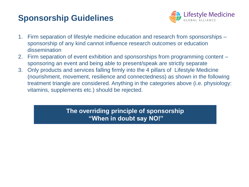# **Sponsorship Guidelines**



- 1. Firm separation of lifestyle medicine education and research from sponsorships sponsorship of any kind cannot influence research outcomes or education dissemination
- 2. Firm separation of event exhibition and sponsorships from programming content sponsoring an event and being able to present/speak are strictly separate
- 3. Only products and services falling firmly into the 4 pillars of Lifestyle Medicine (nourishment, movement, resilience and connectedness) as shown in the following treatment triangle are considered. Anything in the categories above (i.e. physiology: vitamins, supplements etc.) should be rejected.

**The overriding principle of sponsorship "When in doubt say NO!"**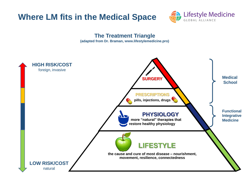



# **The Treatment Triangle**

**(adapted from Dr. Braman, www.lifestylemedicine.pro)**